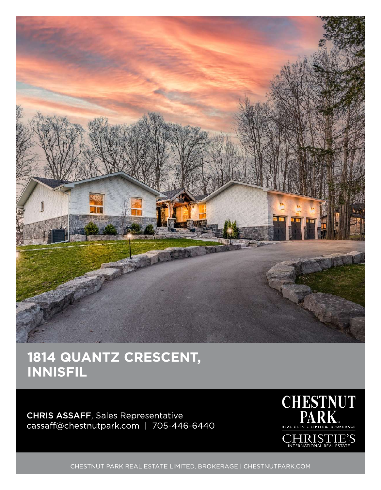

## 1814 QUANTZ CRESCENT, INNISFIL

CHRIS ASSAFF, Sales Representative cassaff@chestnutpark.com | 705-446-6440



CHESTNUT PARK REAL ESTATE LIMITED, BROKERAGE | CHESTNUTPARK.COM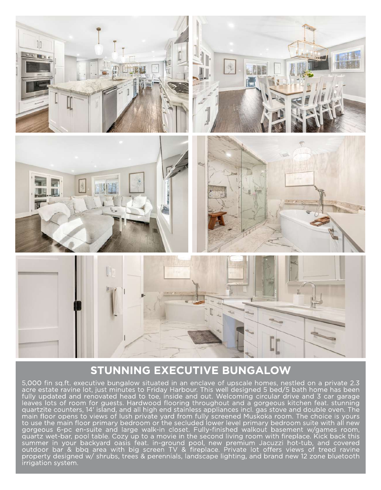

## STUNNING EXECUTIVE BUNGALOW

5,000 fin sq.ft. executive bungalow situated in an enclave of upscale homes, nestled on a private 2.3 acre estate ravine lot, just minutes to Friday Harbour. This well designed 5 bed/5 bath home has been fully updated and renovated head to toe, inside and out. Welcoming circular drive and 3 car garage leaves lots of room for guests. Hardwood flooring throughout and a gorgeous kitchen feat. stunning quartzite counters, 14' island, and all high end stainless appliances incl. gas stove and double oven. The main floor opens to views of lush private yard from fully screened Muskoka room. The choice is yours to use the main floor primary bedroom or the secluded lower level primary bedroom suite with all new gorgeous 6-pc en-suite and large walk-in closet. Fully-finished walkout basement w/games room, quartz wet-bar, pool table. Cozy up to a movie in the second living room with fireplace. Kick back this summer in your backyard oasis feat. in-ground pool, new premium Jacuzzi hot-tub, and covered outdoor bar & bbq area with big screen TV & fireplace. Private lot offers views of treed ravine property designed w/ shrubs, trees & perennials, landscape lighting, and brand new 12 zone bluetooth irrigation system.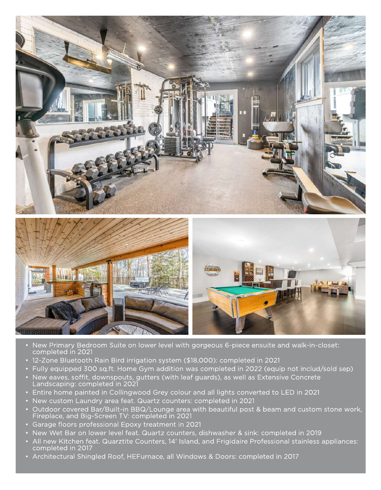

- New Primary Bedroom Suite on lower level with gorgeous 6-piece ensuite and walk-in-closet: completed in 2021
- 12-Zone Bluetooth Rain Bird irrigation system (\$18,000): completed in 2021
- Fully equipped 300 sq.ft. Home Gym addition was completed in 2022 (equip not includ/sold sep)
- New eaves, soffit, downspouts, gutters (with leaf guards), as well as Extensive Concrete Landscaping: completed in 2021
- Entire home painted in Collingwood Grey colour and all lights converted to LED in 2021
- New custom Laundry area feat. Quartz counters: completed in 2021
- Outdoor covered Bar/Built-in BBQ/Lounge area with beautiful post & beam and custom stone work, Fireplace, and Big-Screen TV: completed in 2021
- Garage floors professional Epoxy treatment in 2021
- New Wet Bar on lower level feat. Quartz counters, dishwasher & sink: completed in 2019
- All new Kitchen feat. Quarztite Counters, 14' Island, and Frigidaire Professional stainless appliances: completed in 2017
- Architectural Shingled Roof, HEFurnace, all Windows & Doors: completed in 2017